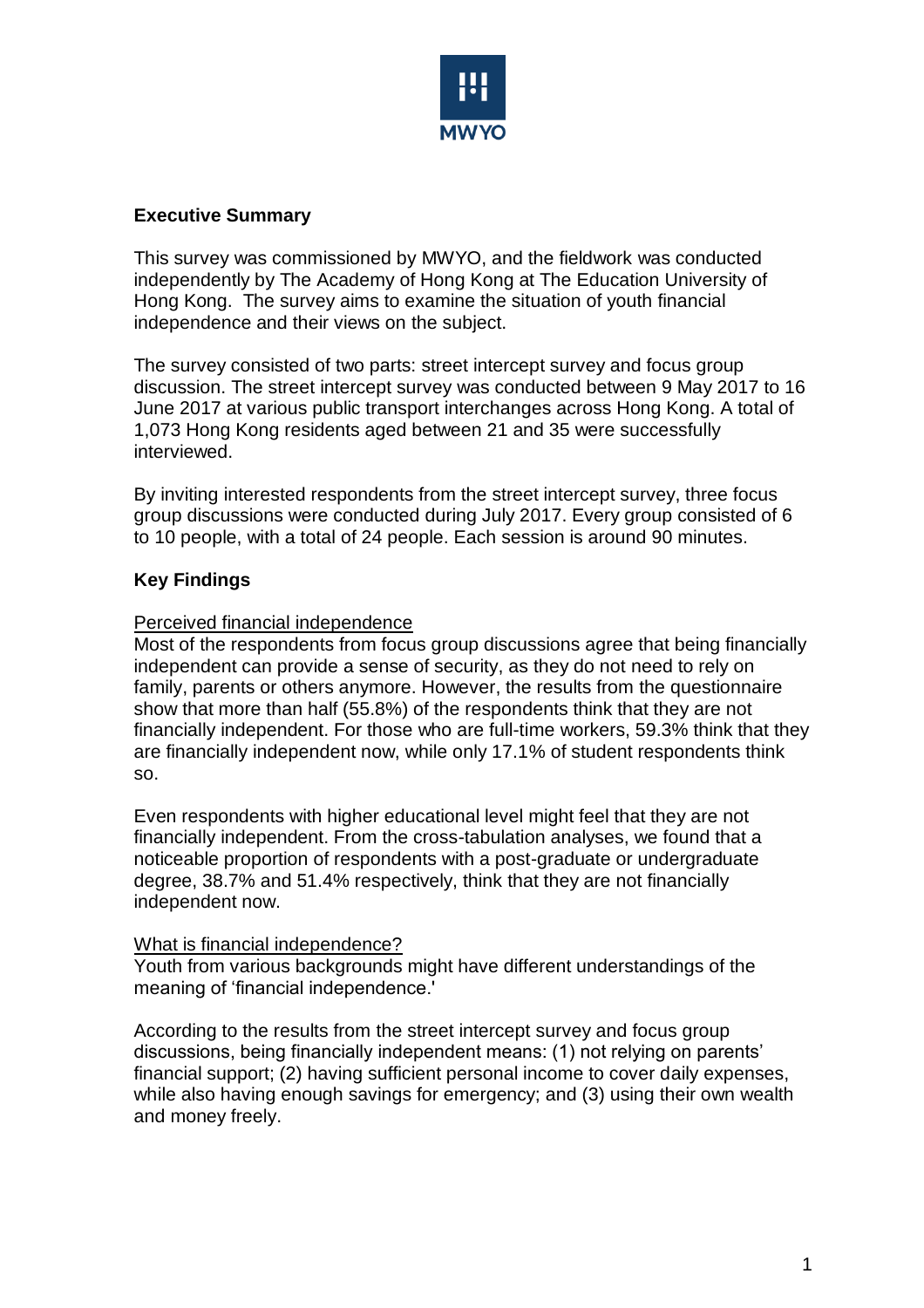

# **Executive Summary**

This survey was commissioned by MWYO, and the fieldwork was conducted independently by The Academy of Hong Kong at The Education University of Hong Kong. The survey aims to examine the situation of youth financial independence and their views on the subject.

The survey consisted of two parts: street intercept survey and focus group discussion. The street intercept survey was conducted between 9 May 2017 to 16 June 2017 at various public transport interchanges across Hong Kong. A total of 1,073 Hong Kong residents aged between 21 and 35 were successfully interviewed.

By inviting interested respondents from the street intercept survey, three focus group discussions were conducted during July 2017. Every group consisted of 6 to 10 people, with a total of 24 people. Each session is around 90 minutes.

# **Key Findings**

## Perceived financial independence

Most of the respondents from focus group discussions agree that being financially independent can provide a sense of security, as they do not need to rely on family, parents or others anymore. However, the results from the questionnaire show that more than half (55.8%) of the respondents think that they are not financially independent. For those who are full-time workers, 59.3% think that they are financially independent now, while only 17.1% of student respondents think so.

Even respondents with higher educational level might feel that they are not financially independent. From the cross-tabulation analyses, we found that a noticeable proportion of respondents with a post-graduate or undergraduate degree, 38.7% and 51.4% respectively, think that they are not financially independent now.

#### What is financial independence?

Youth from various backgrounds might have different understandings of the meaning of 'financial independence.'

According to the results from the street intercept survey and focus group discussions, being financially independent means: (1) not relying on parents' financial support; (2) having sufficient personal income to cover daily expenses, while also having enough savings for emergency; and (3) using their own wealth and money freely.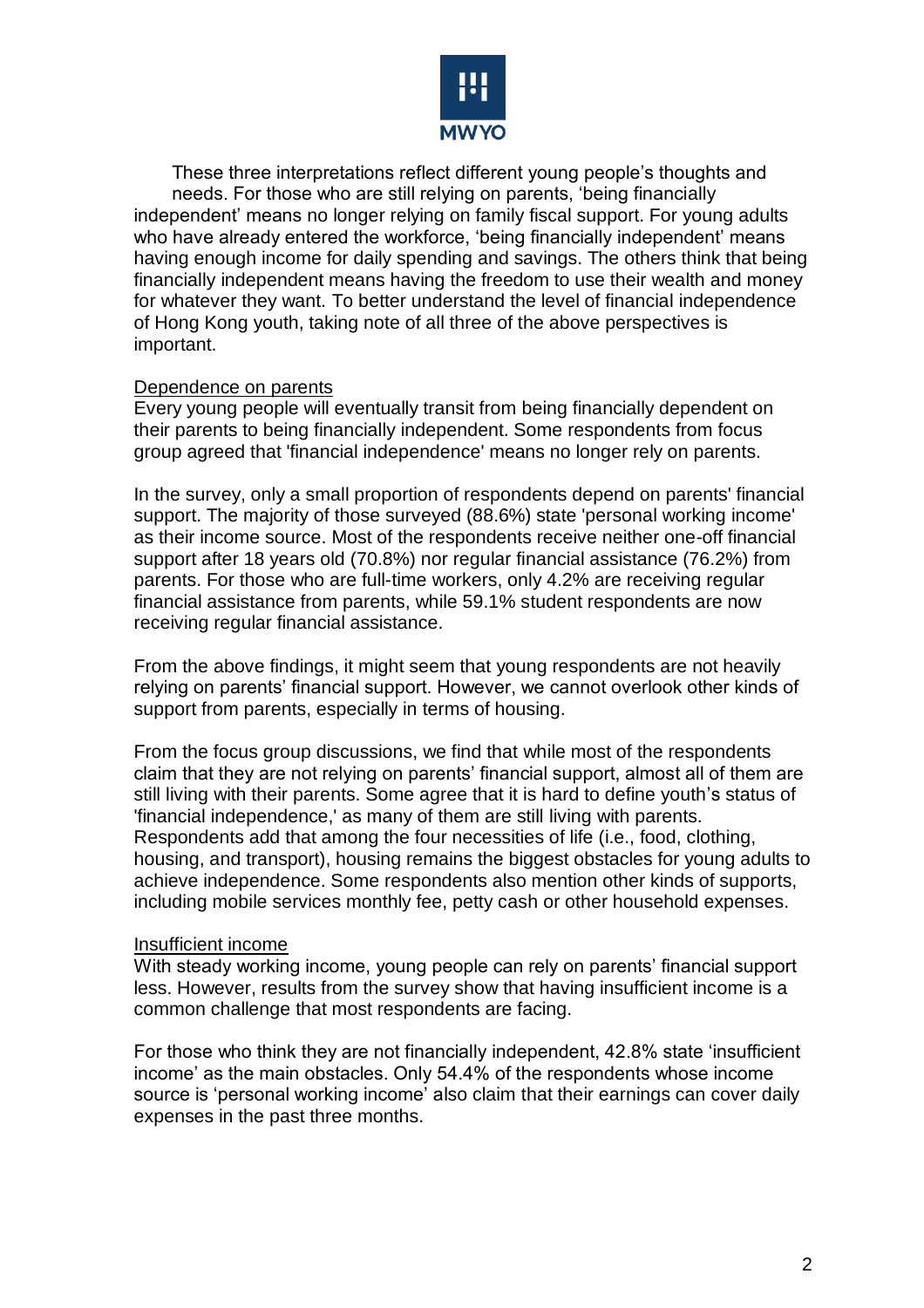

These three interpretations reflect different young people's thoughts and needs. For those who are still relying on parents, 'being financially independent' means no longer relying on family fiscal support. For young adults who have already entered the workforce, 'being financially independent' means having enough income for daily spending and savings. The others think that being financially independent means having the freedom to use their wealth and money for whatever they want. To better understand the level of financial independence of Hong Kong youth, taking note of all three of the above perspectives is important.

### Dependence on parents

Every young people will eventually transit from being financially dependent on their parents to being financially independent. Some respondents from focus group agreed that 'financial independence' means no longer rely on parents.

In the survey, only a small proportion of respondents depend on parents' financial support. The majority of those surveyed (88.6%) state 'personal working income' as their income source. Most of the respondents receive neither one-off financial support after 18 years old (70.8%) nor regular financial assistance (76.2%) from parents. For those who are full-time workers, only 4.2% are receiving regular financial assistance from parents, while 59.1% student respondents are now receiving regular financial assistance.

From the above findings, it might seem that young respondents are not heavily relying on parents' financial support. However, we cannot overlook other kinds of support from parents, especially in terms of housing.

From the focus group discussions, we find that while most of the respondents claim that they are not relying on parents' financial support, almost all of them are still living with their parents. Some agree that it is hard to define youth's status of 'financial independence,' as many of them are still living with parents. Respondents add that among the four necessities of life (i.e., food, clothing, housing, and transport), housing remains the biggest obstacles for young adults to achieve independence. Some respondents also mention other kinds of supports, including mobile services monthly fee, petty cash or other household expenses.

#### Insufficient income

With steady working income, young people can rely on parents' financial support less. However, results from the survey show that having insufficient income is a common challenge that most respondents are facing.

For those who think they are not financially independent, 42.8% state 'insufficient income' as the main obstacles. Only 54.4% of the respondents whose income source is 'personal working income' also claim that their earnings can cover daily expenses in the past three months.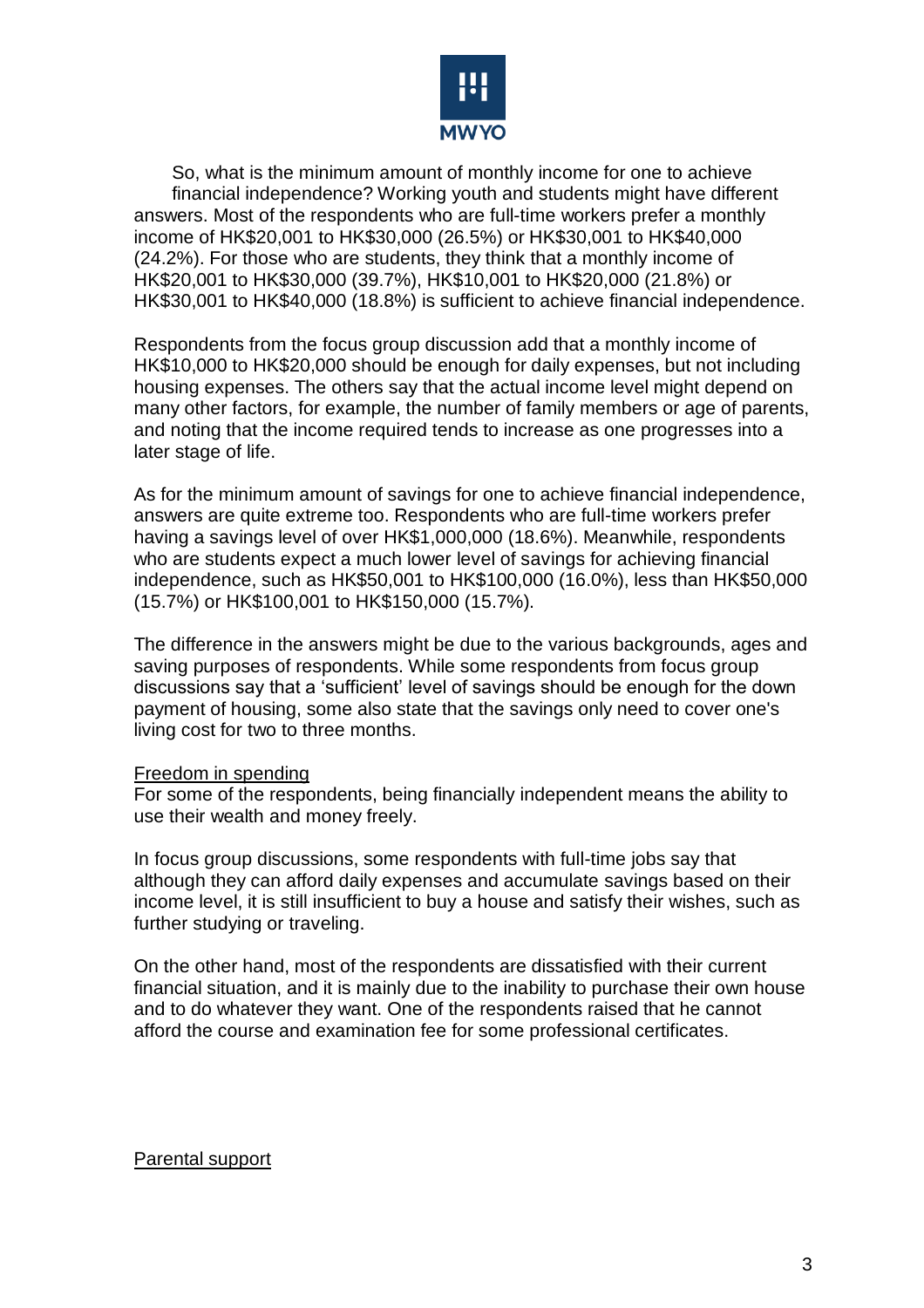

So, what is the minimum amount of monthly income for one to achieve financial independence? Working youth and students might have different answers. Most of the respondents who are full-time workers prefer a monthly income of HK\$20,001 to HK\$30,000 (26.5%) or HK\$30,001 to HK\$40,000 (24.2%). For those who are students, they think that a monthly income of HK\$20,001 to HK\$30,000 (39.7%), HK\$10,001 to HK\$20,000 (21.8%) or HK\$30,001 to HK\$40,000 (18.8%) is sufficient to achieve financial independence.

Respondents from the focus group discussion add that a monthly income of HK\$10,000 to HK\$20,000 should be enough for daily expenses, but not including housing expenses. The others say that the actual income level might depend on many other factors, for example, the number of family members or age of parents, and noting that the income required tends to increase as one progresses into a later stage of life.

As for the minimum amount of savings for one to achieve financial independence, answers are quite extreme too. Respondents who are full-time workers prefer having a savings level of over HK\$1,000,000 (18.6%). Meanwhile, respondents who are students expect a much lower level of savings for achieving financial independence, such as HK\$50,001 to HK\$100,000 (16.0%), less than HK\$50,000 (15.7%) or HK\$100,001 to HK\$150,000 (15.7%).

The difference in the answers might be due to the various backgrounds, ages and saving purposes of respondents. While some respondents from focus group discussions say that a 'sufficient' level of savings should be enough for the down payment of housing, some also state that the savings only need to cover one's living cost for two to three months.

#### Freedom in spending

For some of the respondents, being financially independent means the ability to use their wealth and money freely.

In focus group discussions, some respondents with full-time jobs say that although they can afford daily expenses and accumulate savings based on their income level, it is still insufficient to buy a house and satisfy their wishes, such as further studying or traveling.

On the other hand, most of the respondents are dissatisfied with their current financial situation, and it is mainly due to the inability to purchase their own house and to do whatever they want. One of the respondents raised that he cannot afford the course and examination fee for some professional certificates.

#### Parental support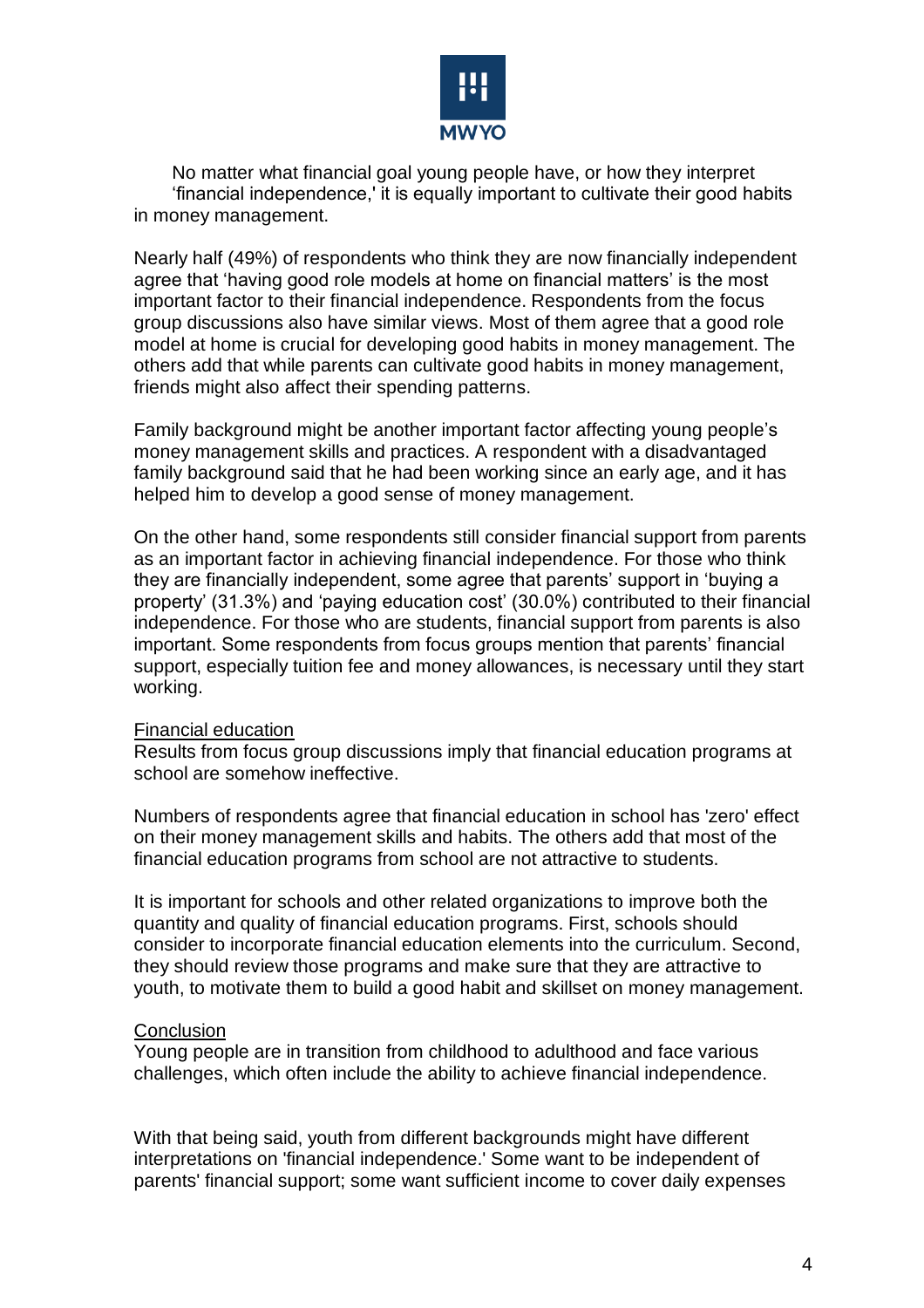

No matter what financial goal young people have, or how they interpret 'financial independence,' it is equally important to cultivate their good habits in money management.

Nearly half (49%) of respondents who think they are now financially independent agree that 'having good role models at home on financial matters' is the most important factor to their financial independence. Respondents from the focus group discussions also have similar views. Most of them agree that a good role model at home is crucial for developing good habits in money management. The others add that while parents can cultivate good habits in money management, friends might also affect their spending patterns.

Family background might be another important factor affecting young people's money management skills and practices. A respondent with a disadvantaged family background said that he had been working since an early age, and it has helped him to develop a good sense of money management.

On the other hand, some respondents still consider financial support from parents as an important factor in achieving financial independence. For those who think they are financially independent, some agree that parents' support in 'buying a property' (31.3%) and 'paying education cost' (30.0%) contributed to their financial independence. For those who are students, financial support from parents is also important. Some respondents from focus groups mention that parents' financial support, especially tuition fee and money allowances, is necessary until they start working.

## Financial education

Results from focus group discussions imply that financial education programs at school are somehow ineffective.

Numbers of respondents agree that financial education in school has 'zero' effect on their money management skills and habits. The others add that most of the financial education programs from school are not attractive to students.

It is important for schools and other related organizations to improve both the quantity and quality of financial education programs. First, schools should consider to incorporate financial education elements into the curriculum. Second, they should review those programs and make sure that they are attractive to youth, to motivate them to build a good habit and skillset on money management.

## **Conclusion**

Young people are in transition from childhood to adulthood and face various challenges, which often include the ability to achieve financial independence.

With that being said, youth from different backgrounds might have different interpretations on 'financial independence.' Some want to be independent of parents' financial support; some want sufficient income to cover daily expenses